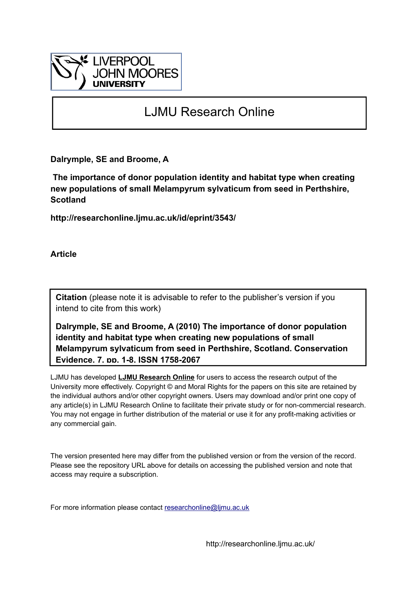

# LJMU Research Online

**Dalrymple, SE and Broome, A**

 **The importance of donor population identity and habitat type when creating new populations of small Melampyrum sylvaticum from seed in Perthshire, Scotland**

**http://researchonline.ljmu.ac.uk/id/eprint/3543/**

**Article**

**Citation** (please note it is advisable to refer to the publisher's version if you intend to cite from this work)

**Dalrymple, SE and Broome, A (2010) The importance of donor population identity and habitat type when creating new populations of small Melampyrum sylvaticum from seed in Perthshire, Scotland. Conservation Evidence, 7. pp. 1-8. ISSN 1758-2067** 

LJMU has developed **[LJMU Research Online](http://researchonline.ljmu.ac.uk/)** for users to access the research output of the University more effectively. Copyright © and Moral Rights for the papers on this site are retained by the individual authors and/or other copyright owners. Users may download and/or print one copy of any article(s) in LJMU Research Online to facilitate their private study or for non-commercial research. You may not engage in further distribution of the material or use it for any profit-making activities or any commercial gain.

The version presented here may differ from the published version or from the version of the record. Please see the repository URL above for details on accessing the published version and note that access may require a subscription.

For more information please contact researchonline@limu.ac.uk

http://researchonline.ljmu.ac.uk/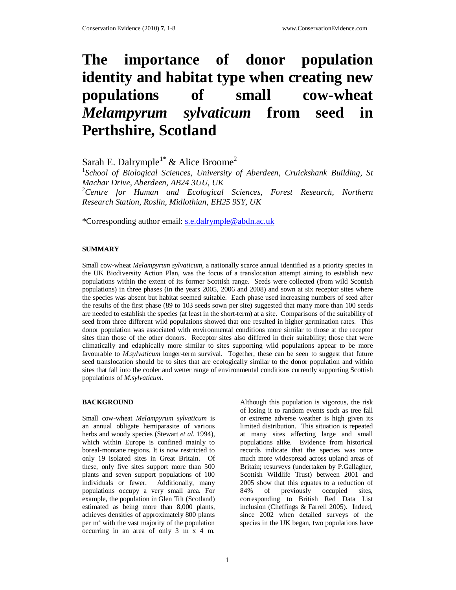# **The importance of donor population identity and habitat type when creating new populations of small cow-wheat** *Melampyrum sylvaticum* **from seed in Perthshire, Scotland**

Sarah E. Dalrymple<sup>1\*</sup> & Alice Broome<sup>2</sup>

<sup>1</sup>School of Biological Sciences, University of Aberdeen, Cruickshank Building, St *Machar Drive, Aberdeen, AB24 3UU, UK*  <sup>2</sup>*Centre for Human and Ecological Sciences, Forest Research, Northern Research Station, Roslin, Midlothian, EH25 9SY, UK* 

\*Corresponding author email: s.e.dalrymple@abdn.ac.uk

## **SUMMARY**

Small cow-wheat *Melampyrum sylvaticum*, a nationally scarce annual identified as a priority species in the UK Biodiversity Action Plan, was the focus of a translocation attempt aiming to establish new populations within the extent of its former Scottish range. Seeds were collected (from wild Scottish populations) in three phases (in the years 2005, 2006 and 2008) and sown at six receptor sites where the species was absent but habitat seemed suitable. Each phase used increasing numbers of seed after the results of the first phase (89 to 103 seeds sown per site) suggested that many more than 100 seeds are needed to establish the species (at least in the short-term) at a site. Comparisons of the suitability of seed from three different wild populations showed that one resulted in higher germination rates. This donor population was associated with environmental conditions more similar to those at the receptor sites than those of the other donors. Receptor sites also differed in their suitability; those that were climatically and edaphically more similar to sites supporting wild populations appear to be more favourable to *M.sylvaticum* longer-term survival. Together, these can be seen to suggest that future seed translocation should be to sites that are ecologically similar to the donor population and within sites that fall into the cooler and wetter range of environmental conditions currently supporting Scottish populations of *M.sylvaticum*.

# **BACKGROUND**

Small cow-wheat *Melampyrum sylvaticum* is an annual obligate hemiparasite of various herbs and woody species (Stewart *et al*. 1994), which within Europe is confined mainly to boreal-montane regions. It is now restricted to only 19 isolated sites in Great Britain. Of these, only five sites support more than 500 plants and seven support populations of 100 individuals or fewer. Additionally, many populations occupy a very small area. For example, the population in Glen Tilt (Scotland) estimated as being more than 8,000 plants, achieves densities of approximately 800 plants per m<sup>2</sup> with the vast majority of the population occurring in an area of only 3 m x 4 m.

Although this population is vigorous, the risk of losing it to random events such as tree fall or extreme adverse weather is high given its limited distribution. This situation is repeated at many sites affecting large and small populations alike. Evidence from historical records indicate that the species was once much more widespread across upland areas of Britain; resurveys (undertaken by P.Gallagher, Scottish Wildlife Trust) between 2001 and 2005 show that this equates to a reduction of 84% of previously occupied sites, corresponding to British Red Data List inclusion (Cheffings & Farrell 2005). Indeed, since 2002 when detailed surveys of the species in the UK began, two populations have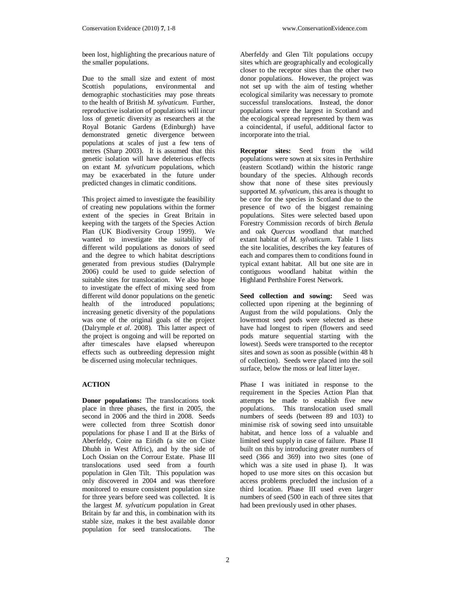been lost, highlighting the precarious nature of the smaller populations.

Due to the small size and extent of most Scottish populations, environmental and demographic stochasticities may pose threats to the health of British *M. sylvaticum*. Further, reproductive isolation of populations will incur loss of genetic diversity as researchers at the Royal Botanic Gardens (Edinburgh) have demonstrated genetic divergence between populations at scales of just a few tens of metres (Sharp 2003). It is assumed that this genetic isolation will have deleterious effects on extant *M. sylvaticum* populations, which may be exacerbated in the future under predicted changes in climatic conditions.

This project aimed to investigate the feasibility of creating new populations within the former extent of the species in Great Britain in keeping with the targets of the Species Action Plan (UK Biodiversity Group 1999). We wanted to investigate the suitability of different wild populations as donors of seed and the degree to which habitat descriptions generated from previous studies (Dalrymple 2006) could be used to guide selection of suitable sites for translocation. We also hope to investigate the effect of mixing seed from different wild donor populations on the genetic health of the introduced populations; increasing genetic diversity of the populations was one of the original goals of the project (Dalrymple *et al.* 2008). This latter aspect of the project is ongoing and will be reported on after timescales have elapsed whereupon effects such as outbreeding depression might be discerned using molecular techniques.

#### **ACTION**

**Donor populations:** The translocations took place in three phases, the first in 2005, the second in 2006 and the third in 2008. Seeds were collected from three Scottish donor populations for phase I and II at the Birks of Aberfeldy, Coire na Eiridh (a site on Ciste Dhubh in West Affric), and by the side of Loch Ossian on the Corrour Estate. Phase III translocations used seed from a fourth population in Glen Tilt. This population was only discovered in 2004 and was therefore monitored to ensure consistent population size for three years before seed was collected. It is the largest *M. sylvaticum* population in Great Britain by far and this, in combination with its stable size, makes it the best available donor population for seed translocations. The

Aberfeldy and Glen Tilt populations occupy sites which are geographically and ecologically closer to the receptor sites than the other two donor populations. However, the project was not set up with the aim of testing whether ecological similarity was necessary to promote successful translocations. Instead, the donor populations were the largest in Scotland and the ecological spread represented by them was a coincidental, if useful, additional factor to incorporate into the trial.

**Receptor sites:** Seed from the wild populations were sown at six sites in Perthshire (eastern Scotland) within the historic range boundary of the species. Although records show that none of these sites previously supported *M. sylvaticum*, this area is thought to be core for the species in Scotland due to the presence of two of the biggest remaining populations. Sites were selected based upon Forestry Commission records of birch *Betula* and oak *Quercus* woodland that matched extant habitat of *M. sylvaticum*. Table 1 lists the site localities, describes the key features of each and compares them to conditions found in typical extant habitat. All but one site are in contiguous woodland habitat within the Highland Perthshire Forest Network.

**Seed collection and sowing:** Seed was collected upon ripening at the beginning of August from the wild populations. Only the lowermost seed pods were selected as these have had longest to ripen (flowers and seed pods mature sequential starting with the lowest). Seeds were transported to the receptor sites and sown as soon as possible (within 48 h of collection). Seeds were placed into the soil surface, below the moss or leaf litter layer.

Phase I was initiated in response to the requirement in the Species Action Plan that attempts be made to establish five new populations. This translocation used small numbers of seeds (between 89 and 103) to minimise risk of sowing seed into unsuitable habitat, and hence loss of a valuable and limited seed supply in case of failure. Phase II built on this by introducing greater numbers of seed (366 and 369) into two sites (one of which was a site used in phase I). It was hoped to use more sites on this occasion but access problems precluded the inclusion of a third location. Phase III used even larger numbers of seed (500 in each of three sites that had been previously used in other phases.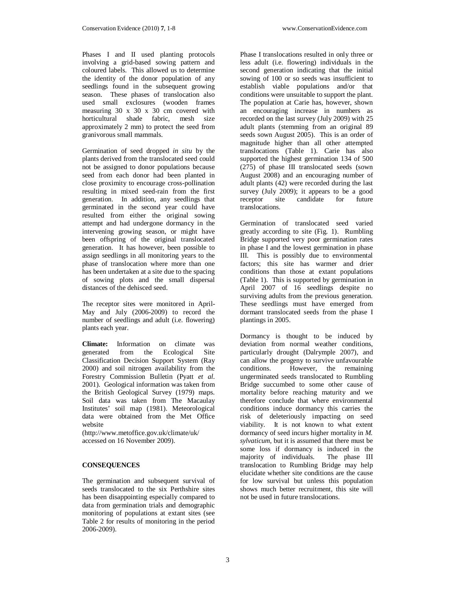Phases I and II used planting protocols involving a grid-based sowing pattern and coloured labels. This allowed us to determine the identity of the donor population of any seedlings found in the subsequent growing season. These phases of translocation also used small exclosures (wooden frames measuring 30 x 30 x 30 cm covered with horticultural shade fabric, mesh size approximately 2 mm) to protect the seed from granivorous small mammals.

Germination of seed dropped *in situ* by the plants derived from the translocated seed could not be assigned to donor populations because seed from each donor had been planted in close proximity to encourage cross-pollination resulting in mixed seed-rain from the first generation. In addition, any seedlings that germinated in the second year could have resulted from either the original sowing attempt and had undergone dormancy in the intervening growing season, or might have been offspring of the original translocated generation. It has however, been possible to assign seedlings in all monitoring years to the phase of translocation where more than one has been undertaken at a site due to the spacing of sowing plots and the small dispersal distances of the dehisced seed.

The receptor sites were monitored in April-May and July (2006-2009) to record the number of seedlings and adult (i.e. flowering) plants each year.

**Climate:** Information on climate was generated from the Ecological Site Classification Decision Support System (Ray 2000) and soil nitrogen availability from the Forestry Commission Bulletin (Pyatt *et al.* 2001). Geological information was taken from the British Geological Survey (1979) maps. Soil data was taken from The Macaulay Institutes' soil map (1981). Meteorological data were obtained from the Met Office website

(http://www.metoffice.gov.uk/climate/uk/ accessed on 16 November 2009).

# **CONSEQUENCES**

The germination and subsequent survival of seeds translocated to the six Perthshire sites has been disappointing especially compared to data from germination trials and demographic monitoring of populations at extant sites (see Table 2 for results of monitoring in the period 2006-2009).

Phase I translocations resulted in only three or less adult (i.e. flowering) individuals in the second generation indicating that the initial sowing of 100 or so seeds was insufficient to establish viable populations and/or that conditions were unsuitable to support the plant. The population at Carie has, however, shown an encouraging increase in numbers as recorded on the last survey (July 2009) with 25 adult plants (stemming from an original 89 seeds sown August 2005). This is an order of magnitude higher than all other attempted translocations (Table 1). Carie has also supported the highest germination 134 of 500 (275) of phase III translocated seeds (sown August 2008) and an encouraging number of adult plants (42) were recorded during the last survey (July 2009); it appears to be a good receptor site candidate for future translocations.

Germination of translocated seed varied greatly according to site (Fig. 1). Rumbling Bridge supported very poor germination rates in phase I and the lowest germination in phase III. This is possibly due to environmental factors; this site has warmer and drier conditions than those at extant populations (Table 1). This is supported by germination in April 2007 of 16 seedlings despite no surviving adults from the previous generation. These seedlings must have emerged from dormant translocated seeds from the phase I plantings in 2005.

Dormancy is thought to be induced by deviation from normal weather conditions, particularly drought (Dalrymple 2007), and can allow the progeny to survive unfavourable<br>conditions. However, the remaining However, the remaining ungerminated seeds translocated to Rumbling Bridge succumbed to some other cause of mortality before reaching maturity and we therefore conclude that where environmental conditions induce dormancy this carries the risk of deleteriously impacting on seed viability. It is not known to what extent dormancy of seed incurs higher mortality in *M. sylvaticum*, but it is assumed that there must be some loss if dormancy is induced in the majority of individuals. The phase III translocation to Rumbling Bridge may help elucidate whether site conditions are the cause for low survival but unless this population shows much better recruitment, this site will not be used in future translocations.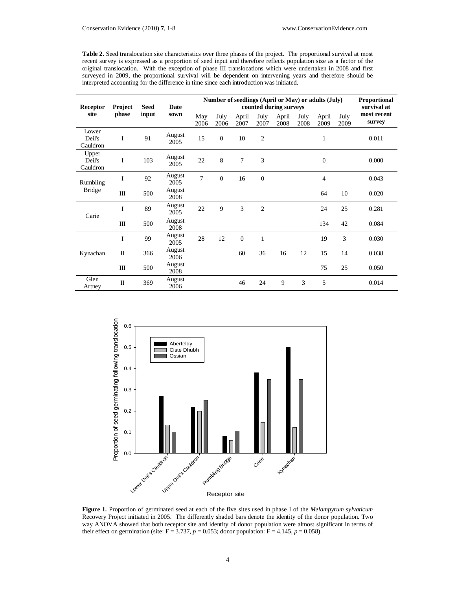**Table 2.** Seed translocation site characteristics over three phases of the project. The proportional survival at most recent survey is expressed as a proportion of seed input and therefore reflects population size as a factor of the original translocation. With the exception of phase III translocations which were undertaken in 2008 and first surveyed in 2009, the proportional survival will be dependent on intervening years and therefore should be interpreted accounting for the difference in time since each introduction was initiated.

| Receptor<br>site            | <b>Project</b><br>phase | <b>Seed</b><br>input | <b>Date</b><br>sown | Number of seedlings (April or May) or adults (July) | <b>Proportional</b><br>survival at |                  |                |               |              |                |              |                       |
|-----------------------------|-------------------------|----------------------|---------------------|-----------------------------------------------------|------------------------------------|------------------|----------------|---------------|--------------|----------------|--------------|-----------------------|
|                             |                         |                      |                     | May<br>2006                                         | July<br>2006                       | April<br>2007    | July<br>2007   | April<br>2008 | July<br>2008 | April<br>2009  | July<br>2009 | most recent<br>survey |
| Lower<br>Deil's<br>Cauldron | I                       | 91                   | August<br>2005      | 15                                                  | $\mathbf{0}$                       | 10               | $\overline{c}$ |               |              | $\mathbf{1}$   |              | 0.011                 |
| Upper<br>Deil's<br>Cauldron | I                       | 103                  | August<br>2005      | 22                                                  | 8                                  | 7                | 3              |               |              | $\theta$       |              | 0.000                 |
| Rumbling<br><b>Bridge</b>   | I                       | 92                   | August<br>2005      | $\overline{7}$                                      | $\overline{0}$                     | 16               | $\theta$       |               |              | $\overline{4}$ |              | 0.043                 |
|                             | $\rm III$               | 500                  | August<br>2008      |                                                     |                                    |                  |                |               |              | 64             | 10           | 0.020                 |
| Carie                       | I                       | 89                   | August<br>2005      | 22                                                  | 9                                  | 3                | $\mathfrak{2}$ |               |              | 24             | 25           | 0.281                 |
|                             | Ш                       | 500                  | August<br>2008      |                                                     |                                    |                  |                |               |              | 134            | 42           | 0.084                 |
| Kynachan                    | I                       | 99                   | August<br>2005      | 28                                                  | 12                                 | $\boldsymbol{0}$ | $\mathbf{1}$   |               |              | 19             | 3            | 0.030                 |
|                             | $\mathbf{I}$            | 366                  | August<br>2006      |                                                     |                                    | 60               | 36             | 16            | 12           | 15             | 14           | 0.038                 |
|                             | Ш                       | 500                  | August<br>2008      |                                                     |                                    |                  |                |               |              | 75             | 25           | 0.050                 |
| Glen<br>Artney              | $\mathbf{I}$            | 369                  | August<br>2006      |                                                     |                                    | 46               | 24             | 9             | 3            | 5              |              | 0.014                 |



**Figure 1.** Proportion of germinated seed at each of the five sites used in phase I of the *Melampyrum sylvaticum* Recovery Project initiated in 2005. The differently shaded bars denote the identity of the donor population. Two way ANOVA showed that both receptor site and identity of donor population were almost significant in terms of their effect on germination (site:  $F = 3.737$ ,  $p = 0.053$ ; donor population:  $F = 4.145$ ,  $p = 0.058$ ).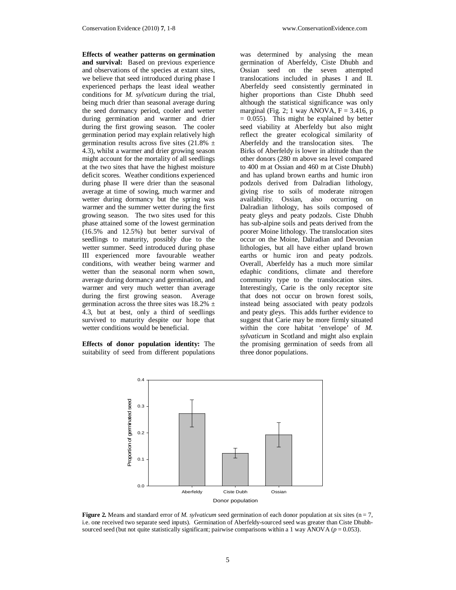**Effects of weather patterns on germination and survival:** Based on previous experience and observations of the species at extant sites, we believe that seed introduced during phase I experienced perhaps the least ideal weather conditions for *M. sylvaticum* during the trial, being much drier than seasonal average during the seed dormancy period, cooler and wetter during germination and warmer and drier during the first growing season. The cooler germination period may explain relatively high germination results across five sites  $(21.8\% \pm$ 4.3), whilst a warmer and drier growing season might account for the mortality of all seedlings at the two sites that have the highest moisture deficit scores. Weather conditions experienced during phase II were drier than the seasonal average at time of sowing, much warmer and wetter during dormancy but the spring was warmer and the summer wetter during the first growing season. The two sites used for this phase attained some of the lowest germination (16.5% and 12.5%) but better survival of seedlings to maturity, possibly due to the wetter summer. Seed introduced during phase III experienced more favourable weather conditions, with weather being warmer and wetter than the seasonal norm when sown, average during dormancy and germination, and warmer and very much wetter than average during the first growing season. Average germination across the three sites was  $18.2\%$  ± 4.3, but at best, only a third of seedlings survived to maturity despite our hope that wetter conditions would be beneficial.

**Effects of donor population identity:** The suitability of seed from different populations

was determined by analysing the mean germination of Aberfeldy, Ciste Dhubh and Ossian seed on the seven attempted translocations included in phases I and II. Aberfeldy seed consistently germinated in higher proportions than Ciste Dhubh seed although the statistical significance was only marginal (Fig. 2; 1 way ANOVA,  $F = 3.416$ , p  $= 0.055$ ). This might be explained by better seed viability at Aberfeldy but also might reflect the greater ecological similarity of Aberfeldy and the translocation sites. The Birks of Aberfeldy is lower in altitude than the other donors (280 m above sea level compared to 400 m at Ossian and 460 m at Ciste Dhubh) and has upland brown earths and humic iron podzols derived from Dalradian lithology, giving rise to soils of moderate nitrogen availability. Ossian, also occurring on Dalradian lithology, has soils composed of peaty gleys and peaty podzols. Ciste Dhubh has sub-alpine soils and peats derived from the poorer Moine lithology. The translocation sites occur on the Moine, Dalradian and Devonian lithologies, but all have either upland brown earths or humic iron and peaty podzols. Overall, Aberfeldy has a much more similar edaphic conditions, climate and therefore community type to the translocation sites. Interestingly, Carie is the only receptor site that does not occur on brown forest soils, instead being associated with peaty podzols and peaty gleys. This adds further evidence to suggest that Carie may be more firmly situated within the core habitat 'envelope' of *M. sylvaticum* in Scotland and might also explain the promising germination of seeds from all three donor populations.



**Figure 2.** Means and standard error of *M. sylvaticum* seed germination of each donor population at six sites ( $n = 7$ , i.e. one received two separate seed inputs). Germination of Aberfeldy-sourced seed was greater than Ciste Dhubhsourced seed (but not quite statistically significant; pairwise comparisons within a 1 way ANOVA ( $p = 0.053$ ).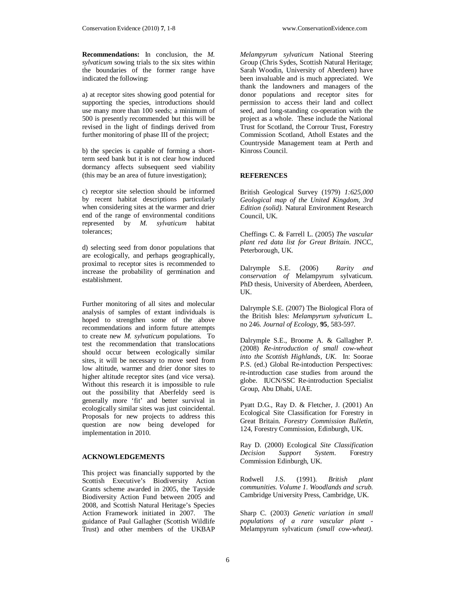**Recommendations:** In conclusion, the *M. sylvaticum* sowing trials to the six sites within the boundaries of the former range have indicated the following:

a) at receptor sites showing good potential for supporting the species, introductions should use many more than 100 seeds; a minimum of 500 is presently recommended but this will be revised in the light of findings derived from further monitoring of phase III of the project;

b) the species is capable of forming a shortterm seed bank but it is not clear how induced dormancy affects subsequent seed viability (this may be an area of future investigation);

c) receptor site selection should be informed by recent habitat descriptions particularly when considering sites at the warmer and drier end of the range of environmental conditions represented by *M. sylvaticum* habitat tolerances;

d) selecting seed from donor populations that are ecologically, and perhaps geographically, proximal to receptor sites is recommended to increase the probability of germination and establishment.

Further monitoring of all sites and molecular analysis of samples of extant individuals is hoped to strengthen some of the above recommendations and inform future attempts to create new *M. sylvaticum* populations. To test the recommendation that translocations should occur between ecologically similar sites, it will be necessary to move seed from low altitude, warmer and drier donor sites to higher altitude receptor sites (and vice versa). Without this research it is impossible to rule out the possibility that Aberfeldy seed is generally more 'fit' and better survival in ecologically similar sites was just coincidental. Proposals for new projects to address this question are now being developed for implementation in 2010.

## **ACKNOWLEDGEMENTS**

This project was financially supported by the Scottish Executive's Biodiversity Action Grants scheme awarded in 2005, the Tayside Biodiversity Action Fund between 2005 and 2008, and Scottish Natural Heritage's Species Action Framework initiated in 2007. The guidance of Paul Gallagher (Scottish Wildlife Trust) and other members of the UKBAP

*Melampyrum sylvaticum* National Steering Group (Chris Sydes, Scottish Natural Heritage; Sarah Woodin, University of Aberdeen) have been invaluable and is much appreciated. We thank the landowners and managers of the donor populations and receptor sites for permission to access their land and collect seed, and long-standing co-operation with the project as a whole. These include the National Trust for Scotland, the Corrour Trust, Forestry Commission Scotland, Atholl Estates and the Countryside Management team at Perth and Kinross Council.

#### **REFERENCES**

British Geological Survey (1979) *1:625,000 Geological map of the United Kingdom, 3rd Edition (solid)*. Natural Environment Research Council, UK.

Cheffings C. & Farrell L. (2005) *The vascular plant red data list for Great Britain*. JNCC, Peterborough, UK.

Dalrymple S.E. (2006) *Rarity and conservation of* Melampyrum sylvaticum. PhD thesis, University of Aberdeen, Aberdeen, UK.

Dalrymple S.E. (2007) The Biological Flora of the British Isles: *Melampyrum sylvaticum* L. no 246. *Journal of Ecology*, **95**, 583-597.

Dalrymple S.E., Broome A. & Gallagher P. (2008) *Re-introduction of small cow-wheat into the Scottish Highlands, UK*. In: Soorae P.S. (ed.) Global Re-intoduction Perspectives: re-introduction case studies from around the globe. IUCN/SSC Re-introduction Specialist Group, Abu Dhabi, UAE.

Pyatt D.G., Ray D. & Fletcher, J. (2001) An Ecological Site Classification for Forestry in Great Britain. *Forestry Commission Bulletin*, 124, Forestry Commission, Edinburgh, UK.

Ray D. (2000) Ecological *Site Classification Decision Support System*. Forestry Commission Edinburgh, UK.

Rodwell J.S. (1991). *British plant communities. Volume 1. Woodlands and scrub.* Cambridge University Press, Cambridge, UK.

Sharp C. (2003) *Genetic variation in small populations of a rare vascular plant -*  Melampyrum sylvaticum *(small cow-wheat)*.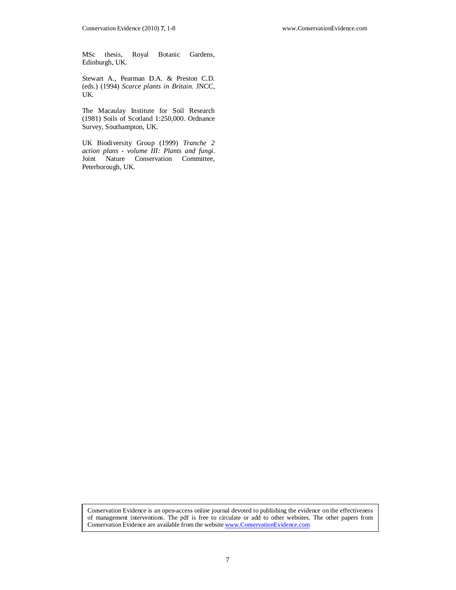MSc thesis, Royal Botanic Gardens, Edinburgh, UK.

Stewart A., Pearman D.A. & Preston C.D. (eds.) (1994) *Scarce plants in Britain*. JNCC, UK.

The Macaulay Institute for Soil Research (1981) Soils of Scotland 1:250,000. Ordnance Survey, Southampton, UK.

UK Biodiversity Group (1999) *Tranche 2 action plans - volume III: Plants and fungi*. Joint Nature Conservation Committee, Peterborough, UK.

Conservation Evidence is an open-access online journal devoted to publishing the evidence on the effectiveness of management interventions. The pdf is free to circulate or add to other websites. The other papers from Conservation Evidence are available from the website www.ConservationEvidence.com